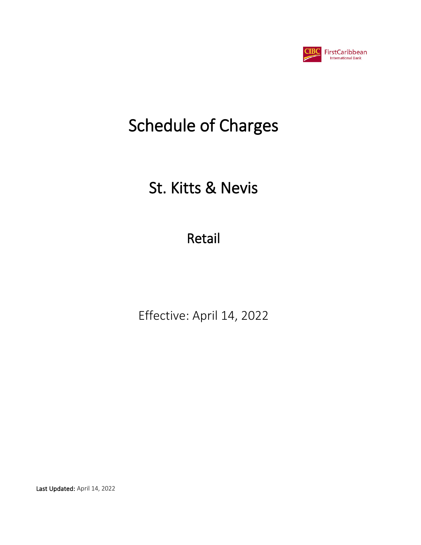

# St. Kitts & Nevis

Retail

Effective: April 14, 2022

Last Updated: April 14, 2022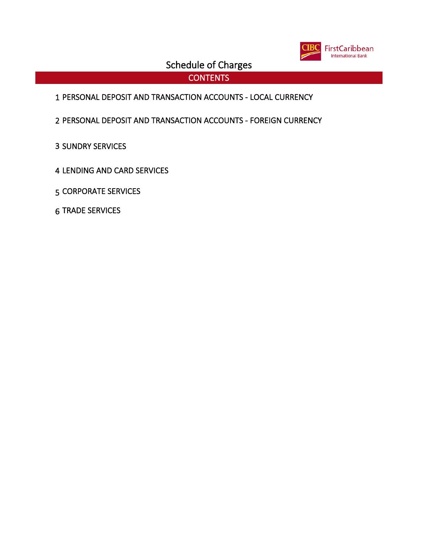

**CONTENTS** 

- PERSONAL DEPOSIT AND TRANSACTION ACCOUNTS LOCAL CURRENCY
- PERSONAL DEPOSIT AND TRANSACTION ACCOUNTS FOREIGN CURRENCY
- SUNDRY SERVICES
- LENDING AND CARD SERVICES
- CORPORATE SERVICES
- TRADE SERVICES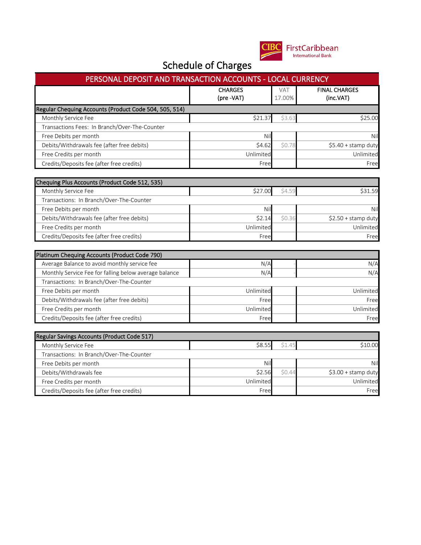

| PERSONAL DEPOSIT AND TRANSACTION ACCOUNTS - LOCAL CURRENCY |                             |                      |                     |  |  |  |
|------------------------------------------------------------|-----------------------------|----------------------|---------------------|--|--|--|
|                                                            | <b>CHARGES</b><br>(pre-VAT) | <b>VAT</b><br>17.00% |                     |  |  |  |
| Regular Chequing Accounts (Product Code 504, 505, 514)     |                             |                      |                     |  |  |  |
| Monthly Service Fee                                        | \$21.37                     | \$3.63               | \$25.00             |  |  |  |
| Transactions Fees: In Branch/Over-The-Counter              |                             |                      |                     |  |  |  |
| Free Debits per month                                      | Nil                         |                      | Nil                 |  |  |  |
| Debits/Withdrawals fee (after free debits)                 | \$4.62                      | \$0.78               | \$5.40 + stamp duty |  |  |  |
| Free Credits per month                                     | Unlimited                   |                      | Unlimited           |  |  |  |
| Credits/Deposits fee (after free credits)                  | Free                        |                      | Free                |  |  |  |
| Chequing Plus Accounts (Product Code 512, 535)             |                             |                      |                     |  |  |  |
| Monthly Service Fee                                        | \$27.00                     | \$4.59               | \$31.59             |  |  |  |
| Transactions: In Branch/Over-The-Counter                   |                             |                      |                     |  |  |  |
| Free Debits per month                                      | Nil                         |                      | Nil                 |  |  |  |
| Debits/Withdrawals fee (after free debits)                 | \$2.14                      | \$0.36               | \$2.50 + stamp duty |  |  |  |
| Free Credits per month                                     | Unlimited                   |                      | Unlimited           |  |  |  |
| Credits/Deposits fee (after free credits)                  | Free                        |                      | Free                |  |  |  |
|                                                            |                             |                      |                     |  |  |  |
| Platinum Chequing Accounts (Product Code 790)              |                             |                      |                     |  |  |  |
| Average Balance to avoid monthly service fee               | N/A                         |                      | N/A                 |  |  |  |
| Monthly Service Fee for falling below average balance      | N/A                         |                      | N/A                 |  |  |  |
| Transactions: In Branch/Over-The-Counter                   |                             |                      |                     |  |  |  |
| Free Debits per month                                      | Unlimited                   |                      | Unlimited           |  |  |  |
| Debits/Withdrawals fee (after free debits)                 | Free                        |                      | Free                |  |  |  |
| Free Credits per month                                     | Unlimited                   |                      | Unlimited           |  |  |  |
| Credits/Deposits fee (after free credits)                  | Free                        |                      | Free                |  |  |  |
| Regular Savings Accounts (Product Code 517)                |                             |                      |                     |  |  |  |
| Monthly Service Fee                                        | \$8.55                      | \$1.45               | \$10.00             |  |  |  |
| Transactions: In Branch/Over-The-Counter                   |                             |                      |                     |  |  |  |
| Free Debits per month                                      | Nil                         |                      | Nil                 |  |  |  |
| Debits/Withdrawals fee                                     | \$2.56                      | \$0.44               | \$3.00 + stamp duty |  |  |  |
| Free Credits per month                                     | Unlimited                   |                      | Unlimited           |  |  |  |
| Credits/Deposits fee (after free credits)                  | Free                        |                      | Free                |  |  |  |
|                                                            |                             |                      |                     |  |  |  |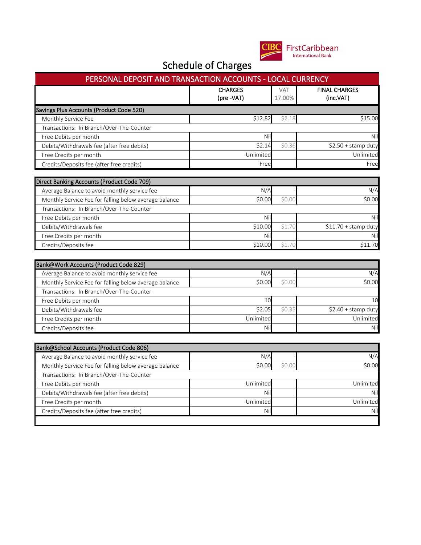

| PERSONAL DEPOSIT AND TRANSACTION ACCOUNTS - LOCAL CURRENCY                                 |                  |            |                                                |  |
|--------------------------------------------------------------------------------------------|------------------|------------|------------------------------------------------|--|
|                                                                                            | <b>CHARGES</b>   | <b>VAT</b> | <b>FINAL CHARGES</b>                           |  |
|                                                                                            | (pre -VAT)       | 17.00%     | (inc.VAT)                                      |  |
| Savings Plus Accounts (Product Code 520)                                                   |                  |            |                                                |  |
| Monthly Service Fee                                                                        | \$12.82          | \$2.18     | \$15.00                                        |  |
| Transactions: In Branch/Over-The-Counter                                                   |                  |            |                                                |  |
| Free Debits per month                                                                      | Nil              |            | Nil                                            |  |
| Debits/Withdrawals fee (after free debits)                                                 | \$2.14           | \$0.36     | \$2.50 + stamp duty                            |  |
| Free Credits per month                                                                     | Unlimited        |            | Unlimited                                      |  |
| Credits/Deposits fee (after free credits)                                                  | Free             |            | Free                                           |  |
|                                                                                            |                  |            |                                                |  |
| Direct Banking Accounts (Product Code 709)<br>Average Balance to avoid monthly service fee | N/A              |            | N/A                                            |  |
|                                                                                            | \$0.00           | \$0.00     | \$0.00                                         |  |
| Monthly Service Fee for falling below average balance                                      |                  |            |                                                |  |
| Transactions: In Branch/Over-The-Counter                                                   | Nil              |            | Nil                                            |  |
| Free Debits per month                                                                      | \$10.00          | \$1.70     |                                                |  |
| Debits/Withdrawals fee                                                                     |                  |            | \$11.70 + stamp duty                           |  |
| Free Credits per month                                                                     | Nil              |            | Nil                                            |  |
| Credits/Deposits fee                                                                       | \$10.00          | \$1.70     | \$11.70                                        |  |
|                                                                                            |                  |            |                                                |  |
| Bank@Work Accounts (Product Code 829)                                                      |                  |            |                                                |  |
| Average Balance to avoid monthly service fee                                               | N/A              |            | N/A                                            |  |
| Monthly Service Fee for falling below average balance                                      | \$0.00           | \$0.00     | \$0.00                                         |  |
| Transactions: In Branch/Over-The-Counter                                                   |                  |            |                                                |  |
| Free Debits per month                                                                      | 10               |            | 10                                             |  |
| Debits/Withdrawals fee                                                                     | \$2.05           | \$0.35     | \$2.40 + stamp duty                            |  |
| Free Credits per month                                                                     | Unlimited        |            | Unlimited                                      |  |
| Credits/Deposits fee                                                                       | Ni               |            | Nil                                            |  |
| Bank@School Accounts (Product Code 806)                                                    |                  |            |                                                |  |
|                                                                                            | N/A              |            | N/A                                            |  |
|                                                                                            |                  |            |                                                |  |
| Average Balance to avoid monthly service fee                                               |                  |            |                                                |  |
| Monthly Service Fee for falling below average balance                                      | \$0.00           | \$0.00     |                                                |  |
| Transactions: In Branch/Over-The-Counter                                                   |                  |            |                                                |  |
| Free Debits per month                                                                      | Unlimited        |            |                                                |  |
| Debits/Withdrawals fee (after free debits)                                                 | Nil              |            |                                                |  |
| Free Credits per month<br>Credits/Deposits fee (after free credits)                        | Unlimited<br>Nil |            | \$0.00<br>Unlimited<br>Nil<br>Unlimited<br>Nil |  |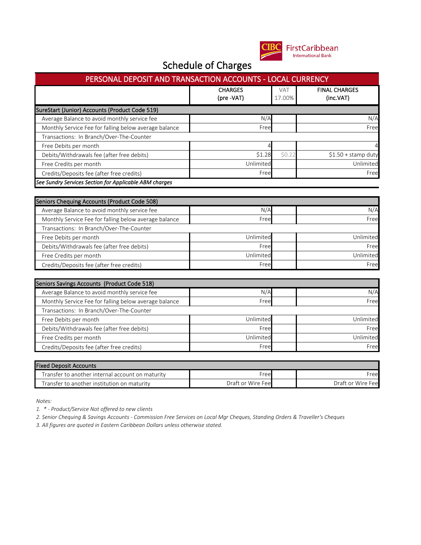

| PERSONAL DEPOSIT AND TRANSACTION ACCOUNTS - LOCAL CURRENCY |                              |                                   |                      |  |  |
|------------------------------------------------------------|------------------------------|-----------------------------------|----------------------|--|--|
|                                                            | <b>CHARGES</b><br>(pre -VAT) | <b>FINAL CHARGES</b><br>(inc.VAT) |                      |  |  |
| SureStart (Junior) Accounts (Product Code 519)             |                              |                                   |                      |  |  |
| Average Balance to avoid monthly service fee               | N/A                          |                                   |                      |  |  |
| Monthly Service Fee for falling below average balance      | Free                         | Free                              |                      |  |  |
| Transactions: In Branch/Over-The-Counter                   |                              |                                   |                      |  |  |
| Free Debits per month                                      |                              |                                   | 4                    |  |  |
| Debits/Withdrawals fee (after free debits)                 | \$1.28                       | \$0.22                            | $$1.50 +$ stamp duty |  |  |
| Free Credits per month                                     | Unlimited<br>Unlimited       |                                   |                      |  |  |
| Credits/Deposits fee (after free credits)                  | Free<br>Free                 |                                   |                      |  |  |
| See Sundry Services Section for Applicable ABM charges     |                              |                                   |                      |  |  |

| Seniors Chequing Accounts (Product Code 508)          |           |  |           |  |  |
|-------------------------------------------------------|-----------|--|-----------|--|--|
| Average Balance to avoid monthly service fee          | N/A       |  | N/A       |  |  |
| Monthly Service Fee for falling below average balance | Free      |  | Free      |  |  |
| Transactions: In Branch/Over-The-Counter              |           |  |           |  |  |
| Free Debits per month                                 | Unlimited |  | Unlimited |  |  |
| Debits/Withdrawals fee (after free debits)            | Free      |  | Free      |  |  |
| Free Credits per month                                | Unlimited |  | Unlimited |  |  |
| Credits/Deposits fee (after free credits)             | Free      |  | Free      |  |  |

| Seniors Savings Accounts (Product Code 518)           |           |  |           |  |  |
|-------------------------------------------------------|-----------|--|-----------|--|--|
| Average Balance to avoid monthly service fee          | N/A       |  | N/A       |  |  |
| Monthly Service Fee for falling below average balance | Free      |  | Free      |  |  |
| Transactions: In Branch/Over-The-Counter              |           |  |           |  |  |
| Free Debits per month                                 | Unlimited |  | Unlimited |  |  |
| Debits/Withdrawals fee (after free debits)            | Free      |  | Free      |  |  |
| Free Credits per month                                | Unlimited |  | Unlimited |  |  |
| Credits/Deposits fee (after free credits)             | Free      |  | Free      |  |  |

| <b>Fixed Deposit Accounts</b>                    |                   |                    |
|--------------------------------------------------|-------------------|--------------------|
| Transfer to another internal account on maturity | Free              | Freel              |
| Transfer to another institution on maturity      | Draft or Wire Fee | Draft or Wire Feel |

*Notes:*

*1. \* - Product/Service Not offered to new clients*

*2. Senior Chequing & Savings Accounts - Commission Free Services on Local Mgr Cheques, Standing Orders & Traveller's Cheques*

*3. All figures are quoted in Eastern Caribbean Dollars unless otherwise stated.*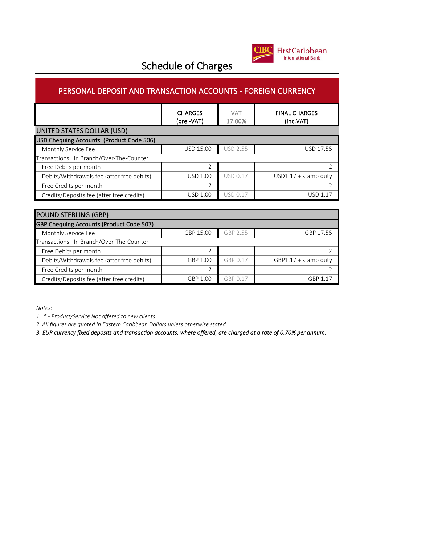

#### PERSONAL DEPOSIT AND TRANSACTION ACCOUNTS - FOREIGN CURRENCY

|                                            | <b>CHARGES</b><br>(pre -VAT) | <b>VAT</b><br>17.00% | <b>FINAL CHARGES</b><br>(inc.VAT) |
|--------------------------------------------|------------------------------|----------------------|-----------------------------------|
| UNITED STATES DOLLAR (USD)                 |                              |                      |                                   |
| USD Chequing Accounts (Product Code 506)   |                              |                      |                                   |
| Monthly Service Fee                        | <b>USD 15.00</b>             | <b>USD 2.55</b>      | USD 17.55                         |
| Transactions: In Branch/Over-The-Counter   |                              |                      |                                   |
| Free Debits per month                      | C.                           |                      |                                   |
| Debits/Withdrawals fee (after free debits) | <b>USD 1.00</b>              | <b>USD 0.17</b>      | $USD1.17 + stamp$ duty            |
| Free Credits per month                     |                              |                      |                                   |
| Credits/Deposits fee (after free credits)  | <b>USD 1.00</b>              | <b>USD 0.17</b>      | USD 1 17                          |

| <b>POUND STERLING (GBP)</b>                |           |          |                        |
|--------------------------------------------|-----------|----------|------------------------|
| GBP Chequing Accounts (Product Code 507)   |           |          |                        |
| Monthly Service Fee                        | GBP 15.00 | GBP 2.55 | GBP 17.55              |
| Transactions: In Branch/Over-The-Counter   |           |          |                        |
| Free Debits per month                      |           |          |                        |
| Debits/Withdrawals fee (after free debits) | GBP 1.00  | GBP 0.17 | $GBP1.17 + stamp$ duty |
| Free Credits per month                     |           |          |                        |
| Credits/Deposits fee (after free credits)  | GBP 1.00  | GBP 0.17 | GBP 1.17               |

*Notes:*

*1. \* - Product/Service Not offered to new clients*

*2. All figures are quoted in Eastern Caribbean Dollars unless otherwise stated.*

*3. EUR currency fixed deposits and transaction accounts, where offered, are charged at a rate of 0.70% per annum.*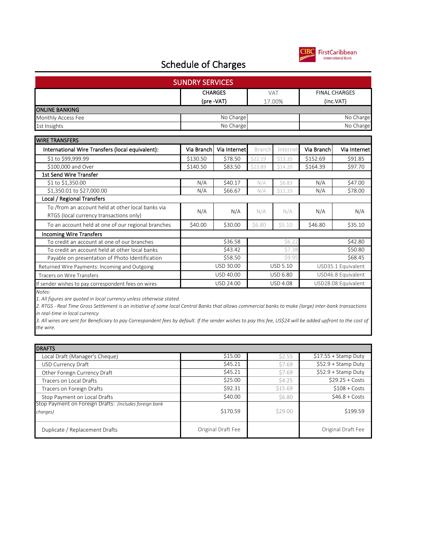

|                                                                                              | <b>SUNDRY SERVICES</b> |                              |               |                 |                                   |                     |
|----------------------------------------------------------------------------------------------|------------------------|------------------------------|---------------|-----------------|-----------------------------------|---------------------|
|                                                                                              |                        | <b>CHARGES</b><br>(pre -VAT) | VAT<br>17.00% |                 | <b>FINAL CHARGES</b><br>(inc.VAT) |                     |
| <b>ONLINE BANKING</b>                                                                        |                        |                              |               |                 |                                   |                     |
| Monthly Access Fee                                                                           |                        | No Charge                    |               |                 |                                   | No Charge           |
| 1st Insights                                                                                 |                        | No Charge                    |               |                 |                                   | No Charge           |
| <b>WIRE TRANSFERS</b>                                                                        |                        |                              |               |                 |                                   |                     |
| International Wire Transfers (local equivalent):                                             | Via Branch             | Via Internet                 | Branch        | Internet        | Via Branch                        | Via Internet        |
| \$1 to \$99,999.99                                                                           | \$130.50               | \$78.50                      | \$22.19       | \$13.35         | \$152.69                          | \$91.85             |
| \$100,000 and Over                                                                           | \$140.50               | \$83.50                      | \$23.89       | \$14.20         | \$164.39                          | \$97.70             |
| <b>1st Send Wire Transfer</b>                                                                |                        |                              |               |                 |                                   |                     |
| \$1 to \$1,350.00                                                                            | N/A                    | \$40.17                      | N/A           | \$6.83          | N/A                               | \$47.00             |
| \$1,350.01 to \$27,000.00                                                                    | N/A                    | \$66.67                      | N/A           | \$11.33         | N/A                               | \$78.00             |
| Local / Regional Transfers                                                                   |                        |                              |               |                 |                                   |                     |
| To /from an account held at other local banks via<br>RTGS (local currency transactions only) | N/A                    | N/A                          | N/A           | N/A             | N/A                               | N/A                 |
| To an account held at one of our regional branches                                           | \$40.00                | \$30.00                      | \$6.80        | \$5.10          | \$46.80                           | \$35.10             |
| <b>Incoming Wire Transfers</b>                                                               |                        |                              |               |                 |                                   |                     |
| To credit an account at one of our branches                                                  |                        | \$36.58                      |               | \$6.22          | \$42.80                           |                     |
| To credit an account held at other local banks                                               |                        | \$43.42                      |               | \$7.38          |                                   | \$50.80             |
| Payable on presentation of Photo Identification                                              |                        | \$58.50                      |               | \$9.95          |                                   | \$68.45             |
| Returned Wire Payments: Incoming and Outgoing                                                |                        | USD 30.00                    |               | <b>USD 5.10</b> |                                   | USD35.1 Equivalent  |
| <b>Tracers on Wire Transfers</b>                                                             |                        | USD 40.00                    |               | <b>USD 6.80</b> |                                   | USD46.8 Equivalent  |
| If sender wishes to pay correspondent fees on wires                                          |                        | USD 24.00                    |               | <b>USD 4.08</b> |                                   | USD28.08 Equivalent |
| Notes:                                                                                       |                        |                              |               |                 |                                   |                     |
| 1 All figures are quoted in local currency unless otherwise stated                           |                        |                              |               |                 |                                   |                     |

*1. All figures are quoted in local currency unless otherwise stated.*

*2. RTGS - Real Time Gross Settlement is an initiative of some local Central Banks that allows commercial banks to make (large) inter-bank transactions in real-time in local currency*

*3. All wires are sent for Beneficiary to pay Correspondent fees by default. If the sender wishes to pay this fee, US\$24 will be added upfront to the cost of the wire.*

| <b>DRAFTS</b>                                           |                    |               |                       |
|---------------------------------------------------------|--------------------|---------------|-----------------------|
| Local Draft (Manager's Cheque)                          | \$15.00            | \$2.55        | $$17.55 +$ Stamp Duty |
| USD Currency Draft                                      | \$45.21            | \$7.69        | $$52.9 + Stamp$ Duty  |
| Other Foreign Currency Draft                            | \$45.21            | \$7.69        | $$52.9 + Stamp$ Duty  |
| Tracers on Local Drafts                                 | \$25.00            | \$4.25        | $$29.25 + Costs$      |
| Tracers on Foreign Drafts                               | \$92.31            | \$15.69       | $$108 + Costs$        |
| Stop Payment on Local Drafts                            | \$40.00            | <b>\$6.80</b> | $$46.8 + Costs$       |
| Stop Payment on Foreign Drafts: (includes foreign bank) |                    |               |                       |
| charges)                                                | \$170.59           | \$29.00       | \$199.59              |
| Duplicate / Replacement Drafts                          | Original Draft Fee |               | Original Draft Fee    |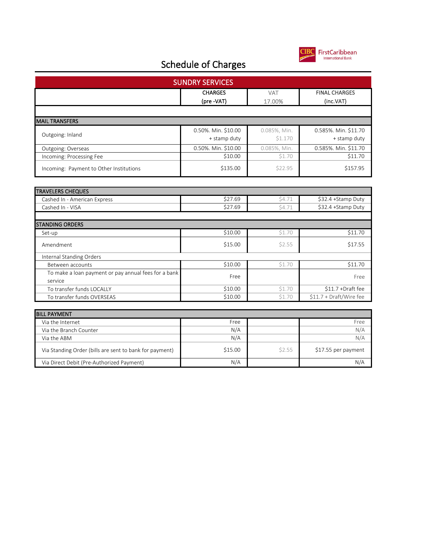

|                                                                 | <b>SUNDRY SERVICES</b>              |                         |                                      |
|-----------------------------------------------------------------|-------------------------------------|-------------------------|--------------------------------------|
|                                                                 | <b>CHARGES</b>                      | <b>VAT</b>              | <b>FINAL CHARGES</b>                 |
|                                                                 | (pre -VAT)                          | 17.00%                  | (inc.VAT)                            |
|                                                                 |                                     |                         |                                      |
| <b>MAIL TRANSFERS</b>                                           |                                     |                         |                                      |
| Outgoing: Inland                                                | 0.50%. Min. \$10.00<br>+ stamp duty | 0.085%, Min.<br>\$1.170 | 0.585%. Min. \$11.70<br>+ stamp duty |
| Outgoing: Overseas                                              | 0.50%. Min. \$10.00                 | 0.085%, Min.            | 0.585%. Min. \$11.70                 |
| Incoming: Processing Fee                                        | \$10.00                             | \$1.70                  | \$11.70                              |
| Incoming: Payment to Other Institutions                         | \$135.00                            | \$22.95                 | \$157.95                             |
|                                                                 |                                     |                         |                                      |
| <b>TRAVELERS CHEQUES</b>                                        |                                     |                         |                                      |
| Cashed In - American Express                                    | \$27.69                             | \$4.71                  | \$32.4 +Stamp Duty                   |
| Cashed In - VISA                                                | \$27.69                             | \$4.71                  | \$32.4 +Stamp Duty                   |
|                                                                 |                                     |                         |                                      |
| <b>STANDING ORDERS</b>                                          |                                     |                         |                                      |
| Set-up                                                          | \$10.00                             | \$1.70                  | $\overline{$}11.70$                  |
| Amendment                                                       | \$15.00                             | \$2.55                  | \$17.55                              |
| Internal Standing Orders                                        |                                     |                         |                                      |
| Between accounts                                                | \$10.00                             | \$1.70                  | \$11.70                              |
| To make a loan payment or pay annual fees for a bank<br>service | Free                                |                         | Free                                 |
| To transfer funds LOCALLY                                       | \$10.00                             | \$1.70                  | \$11.7 +Draft fee                    |
| To transfer funds OVERSEAS                                      | \$10.00                             | \$1.70                  | \$11.7 + Draft/Wire fee              |
|                                                                 |                                     |                         |                                      |
| <b>BILL PAYMENT</b>                                             |                                     |                         |                                      |
| Via the Internet                                                | Free                                |                         | Free                                 |
| Via the Branch Counter                                          | N/A                                 |                         | N/A                                  |
| Via the ABM                                                     | N/A                                 |                         | N/A                                  |
| Via Standing Order (bills are sent to bank for payment)         | \$15.00                             | \$2.55                  | \$17.55 per payment                  |
| Via Direct Debit (Pre-Authorized Payment)                       | N/A                                 |                         | N/A                                  |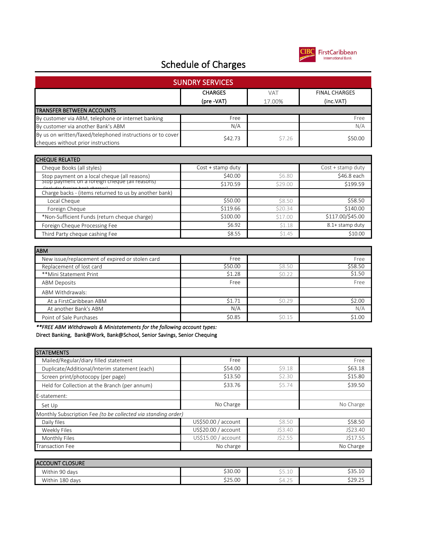

| <b>SUNDRY SERVICES</b>                                                                         |                   |         |                      |  |  |  |  |
|------------------------------------------------------------------------------------------------|-------------------|---------|----------------------|--|--|--|--|
|                                                                                                | <b>CHARGES</b>    | VAT     | <b>FINAL CHARGES</b> |  |  |  |  |
|                                                                                                | (pre -VAT)        | 17.00%  | (inc.VAT)            |  |  |  |  |
| <b>TRANSFER BETWEEN ACCOUNTS</b>                                                               |                   |         |                      |  |  |  |  |
| By customer via ABM, telephone or internet banking                                             | Free              |         | Free                 |  |  |  |  |
| By customer via another Bank's ABM                                                             | N/A               |         | N/A                  |  |  |  |  |
| By us on written/faxed/telephoned instructions or to cover                                     | \$42.73           | \$7.26  | \$50.00              |  |  |  |  |
| cheques without prior instructions                                                             |                   |         |                      |  |  |  |  |
|                                                                                                |                   |         |                      |  |  |  |  |
| <b>CHEQUE RELATED</b>                                                                          |                   |         |                      |  |  |  |  |
| Cheque Books (all styles)                                                                      | Cost + stamp duty |         | Cost + stamp duty    |  |  |  |  |
| Stop payment on a local cheque (all reasons)<br>Stop payment on a roreign cheque (all reasons) | \$40.00           | \$6.80  | \$46.8 each          |  |  |  |  |
|                                                                                                | \$170.59          | \$29.00 | \$199.59             |  |  |  |  |
| Charge backs - (items returned to us by another bank)                                          |                   |         |                      |  |  |  |  |
| Local Cheque                                                                                   | \$50.00           | \$8.50  | \$58.50              |  |  |  |  |
| Foreign Cheque                                                                                 | \$119.66          | \$20.34 | \$140.00             |  |  |  |  |
| *Non-Sufficient Funds (return cheque charge)                                                   | \$100.00          | \$17.00 | \$117.00/\$45.00     |  |  |  |  |
| Foreign Cheque Processing Fee                                                                  | \$6.92            | \$1.18  | 8.1+ stamp duty      |  |  |  |  |
| Third Party cheque cashing Fee                                                                 | \$8.55            | \$1.45  | \$10.00              |  |  |  |  |
| <b>ABM</b>                                                                                     |                   |         |                      |  |  |  |  |
| New issue/replacement of expired or stolen card                                                | Free              |         | Free                 |  |  |  |  |
| Replacement of lost card                                                                       | \$50.00           | \$8.50  | \$58.50              |  |  |  |  |
| **Mini Statement Print                                                                         | \$1.28            | \$0.22  | \$1.50               |  |  |  |  |
| <b>ABM Deposits</b>                                                                            | Free              |         | Free                 |  |  |  |  |
| ABM Withdrawals:                                                                               |                   |         |                      |  |  |  |  |
| At a FirstCaribbean ABM                                                                        | \$1.71            | \$0.29  | \$2.00               |  |  |  |  |
| At another Bank's ABM                                                                          | N/A               |         | N/A                  |  |  |  |  |
| Point of Sale Purchases                                                                        | \$0.85            | \$0.15  | \$1.00               |  |  |  |  |
| **FREE ABM Withdrawals & Ministatements for the following account types:                       |                   |         |                      |  |  |  |  |
| Direct Banking, Bank@Work, Bank@School, Senior Savings, Senior Chequing                        |                   |         |                      |  |  |  |  |
| <b>STATEMENTS</b>                                                                              |                   |         |                      |  |  |  |  |

| Mailed/Regular/diary filled statement                         | Free                |         | Free      |
|---------------------------------------------------------------|---------------------|---------|-----------|
| Duplicate/Additional/Interim statement (each)                 | \$54.00             | 59.18   | \$63.18   |
| Screen print/photocopy (per page)                             | \$13.50             | \$2.30  | \$15.80   |
| Held for Collection at the Branch (per annum)                 | \$33.76             | \$5.74  | \$39.50   |
| E-statement:                                                  |                     |         |           |
| Set Up                                                        | No Charge           |         | No Charge |
| Monthly Subscription Fee (to be collected via standing order) |                     |         |           |
| Daily files                                                   | US\$50.00 / account | \$8.50  | \$58.50   |
| Weekly Files                                                  | US\$20.00 / account | J\$3.40 | J\$23.40  |
| Monthly Files                                                 | US\$15.00 / account | J\$2.55 | J\$17.55  |
| <b>Transaction Fee</b>                                        | No charge           |         | No Charge |

| <b>ACCOUNT CLOSURE</b> |         |                           |                                 |
|------------------------|---------|---------------------------|---------------------------------|
| Within 90 days         | \$30.00 | --<br>$\sim$<br>⇒⇒.⊥∪     | くっち<br>$\sim$<br><u>JJJ.IU</u>  |
| Within 180 days        | \$25.00 | $\sim$ $-$<br>ـــ<br>エルムン | c da<br>$\sim$ $\sim$<br>323.ZJ |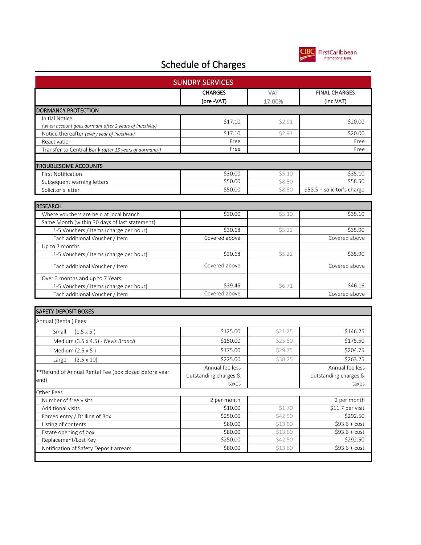

| <b>SUNDRY SERVICES</b>                                  |                             |               |                                   |
|---------------------------------------------------------|-----------------------------|---------------|-----------------------------------|
|                                                         | <b>CHARGES</b><br>(pre-VAT) | VAT<br>17.00% | <b>FINAL CHARGES</b><br>(inc.VAT) |
| <b>DORMANCY PROTECTION</b>                              |                             |               |                                   |
| <b>Initial Notice</b>                                   | \$17.10                     | \$2.91        | \$20.00                           |
| (when account goes dormant after 2 years of inactivity) |                             |               |                                   |
| Notice thereafter (every year of inactivity)            | \$17.10                     | \$2.91        | \$20.00                           |
| Reactivation                                            | Free                        |               | Free                              |
| Transfer to Central Bank (after 15 years of dormancy)   | Free                        |               | Free                              |
| <b>TROUBLESOME ACCOUNTS</b>                             |                             |               |                                   |
| <b>First Notification</b>                               | \$30.00                     | \$5.10        | \$35.10                           |
| Subsequent warning letters                              | \$50.00                     | \$8.50        | \$58.50                           |
| Solicitor's letter                                      | \$50.00                     | \$8.50        | \$58.5 + solicitor's charge       |
|                                                         |                             |               |                                   |
| <b>RESEARCH</b>                                         |                             |               |                                   |
| Where vouchers are held at local branch                 | \$30.00                     | \$5.10        | \$35.10                           |
| Same Month (within 30 days of last statement)           |                             |               |                                   |
| 1-5 Vouchers / Items (charge per hour)                  | \$30.68                     | \$5.22        | \$35.90                           |
| Each additional Voucher / Item                          | Covered above               |               | Covered above                     |
| Up to 3 months                                          |                             |               |                                   |
| 1-5 Vouchers / Items (charge per hour)                  | \$30.68                     | \$5.22        | \$35.90                           |
| Each additional Voucher / Item                          | Covered above               |               | Covered above                     |
| Over 3 months and up to 7 Years                         |                             |               |                                   |
| 1-5 Vouchers / Items (charge per hour)                  | \$39.45                     | \$6.71        | \$46.16                           |
| Each additional Voucher / Item                          | Covered above               |               | Covered above                     |
|                                                         |                             |               |                                   |
| <b>SAFETY DEPOSIT BOXES</b>                             |                             |               |                                   |
| Annual (Rental) Fees                                    |                             |               |                                   |
| Small<br>$(1.5 \times 5)$                               | \$125.00                    | \$21.25       | \$146.25                          |
| Medium (3.5 x 4.5) - Nevis Branch                       | \$150.00                    | \$25.50       | \$175.50                          |
| Medium (2.5 x 5)                                        | \$175.00                    | \$29.75       | \$204.75                          |
| $(2.5 \times 10)$<br>Large                              | \$225.00                    | \$38.25       | \$263.25                          |
|                                                         | Annual fee less             |               | Annual fee less                   |
| **Refund of Annual Rental Fee (box closed before year   | outstanding charges &       |               | outstanding charges &             |
| end)                                                    | taxes                       |               | taxes                             |
| Other Fees                                              |                             |               |                                   |
| Number of free visits                                   | 2 per month                 |               | 2 per month                       |
| Additional visits                                       | \$10.00                     | \$1.70        | \$11.7 per visit                  |
| Forced entry / Drilling of Box                          | \$250.00                    | \$42.50       | \$292.50                          |
| Listing of contents                                     | \$80.00                     | \$13.60       | $$93.6 + cost$                    |
| Estate opening of box                                   | \$80.00                     | \$13.60       | $$93.6 + cost$                    |
| Replacement/Lost Key                                    | \$250.00                    | \$42.50       | \$292.50                          |
| Notification of Safety Deposit arrears                  | \$80.00                     | \$13.60       | $$93.6 + cost$                    |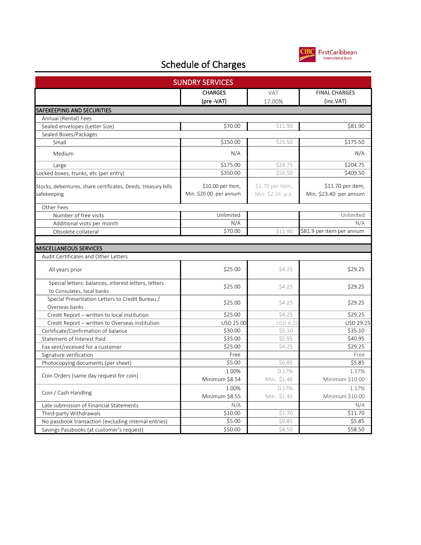

| <b>SUNDRY SERVICES</b>                                                             |                                             |                                      |                                             |
|------------------------------------------------------------------------------------|---------------------------------------------|--------------------------------------|---------------------------------------------|
|                                                                                    | <b>CHARGES</b>                              | <b>VAT</b>                           | <b>FINAL CHARGES</b>                        |
|                                                                                    | (pre -VAT)                                  | 17.00%                               | (inc.VAT)                                   |
| SAFEKEEPING AND SECURITIES                                                         |                                             |                                      |                                             |
| Annual (Rental) Fees                                                               |                                             |                                      |                                             |
| Sealed envelopes (Letter Size)                                                     | \$70.00                                     | \$11.90                              | \$81.90                                     |
| Sealed Boxes/Packages                                                              |                                             |                                      |                                             |
| Small                                                                              | \$150.00                                    | \$25.50                              | \$175.50                                    |
| Medium                                                                             | N/A                                         |                                      | N/A                                         |
| Large                                                                              | \$175.00                                    | \$29.75                              | \$204.75                                    |
| Locked boxes, trunks, etc (per entry)                                              | \$350.00                                    | \$59.50                              | \$409.50                                    |
| Stocks, debentures, share certificates, Deeds, treasury bills<br>safekeeping       | \$10.00 per item,<br>Min. \$20.00 per annum | \$1.70 per item,<br>Min. \$2.34 p.a. | \$11.70 per item,<br>Min. \$23.40 per annum |
| Other Fees                                                                         |                                             |                                      |                                             |
| Number of free visits                                                              | Unlimited                                   |                                      | Unlimited                                   |
| Additional visits per month                                                        | N/A                                         |                                      | N/A                                         |
| Obsolete collateral                                                                | \$70.00                                     | \$11.90                              | \$81.9 per item per annum                   |
|                                                                                    |                                             |                                      |                                             |
| MISCELLANEOUS SERVICES                                                             |                                             |                                      |                                             |
| Audit Certificates and Other Letters                                               |                                             |                                      |                                             |
| All years prior                                                                    | \$25.00                                     | \$4.25                               | \$29.25                                     |
| Special letters: balances, interest letters, letters<br>to Consulates, local banks | \$25.00                                     | \$4.25                               | \$29.25                                     |
| Special Presentation Letters to Credit Bureau /<br>Overseas banks                  | \$25.00                                     | \$4.25                               | \$29.25                                     |
| Credit Report - written to local institution                                       | \$25.00                                     | \$4.25                               | \$29.25                                     |
| Credit Report - written to Overseas institution                                    | USD 25.00                                   | USD 4.2                              | USD 29.25                                   |
| Certificate/Confirmation of balance                                                | \$30.00                                     | \$5.10                               | \$35.10                                     |
| Statement of Interest Paid                                                         | \$35.00                                     | \$5.95                               | \$40.95                                     |
| Fax sent/received for a customer                                                   | \$25.00                                     | \$4.25                               | \$29.25                                     |
| Signature verification                                                             | Free                                        |                                      | Free                                        |
| Photocopying documents (per sheet)                                                 | \$5.00                                      | \$0.85                               | \$5.85                                      |
|                                                                                    | 1.00%                                       | 0.17%                                | 1.17%                                       |
| Coin Orders (same day request for coin)                                            | Minimum \$8.54                              | Min. \$1.46                          | Minimum \$10.00                             |
|                                                                                    | 1.00%                                       | 0.17%                                | 1.17%                                       |
| Coin / Cash Handling                                                               | Minimum \$8.55                              | Min. \$1.45                          | Minimum \$10.00                             |
| Late submission of Financial Statements                                            | N/A                                         |                                      | N/A                                         |
| Third-party Withdrawals                                                            | \$10.00                                     | \$1.70                               | \$11.70                                     |
| No passbook transaction (excluding internal entries)                               | \$5.00                                      | \$0.85                               | \$5.85                                      |
| Savings Passbooks (at customer's request)                                          | \$50.00                                     | \$8.50                               | \$58.50                                     |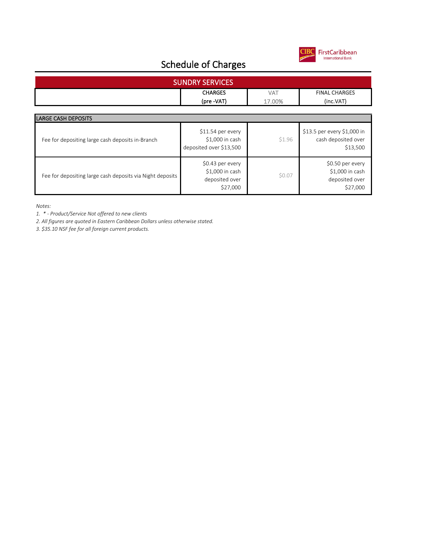

| <b>SUNDRY SERVICES</b>                                    |                                                                   |                      |                                                                   |  |
|-----------------------------------------------------------|-------------------------------------------------------------------|----------------------|-------------------------------------------------------------------|--|
|                                                           | <b>CHARGES</b><br>(pre -VAT)                                      | <b>VAT</b><br>17.00% | <b>FINAL CHARGES</b><br>(inc.VAT)                                 |  |
| <b>LARGE CASH DEPOSITS</b>                                |                                                                   |                      |                                                                   |  |
| Fee for depositing large cash deposits in-Branch          | $$11.54$ per every<br>\$1,000 in cash<br>deposited over \$13,500  | \$1.96               | \$13.5 per every \$1,000 in<br>cash deposited over<br>\$13,500    |  |
| Fee for depositing large cash deposits via Night deposits | \$0.43 per every<br>\$1,000 in cash<br>deposited over<br>\$27,000 | \$0.07               | \$0.50 per every<br>\$1,000 in cash<br>deposited over<br>\$27,000 |  |

*Notes:*

*1. \* - Product/Service Not offered to new clients*

*2. All figures are quoted in Eastern Caribbean Dollars unless otherwise stated.*

*3. \$35.10 NSF fee for all foreign current products.*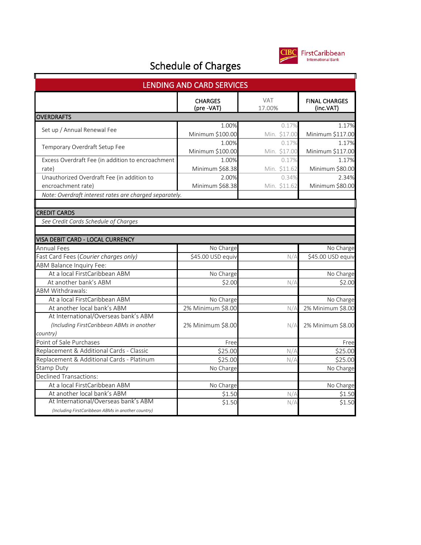

| <b>LENDING AND CARD SERVICES</b>                       |                              |                      |                                   |  |
|--------------------------------------------------------|------------------------------|----------------------|-----------------------------------|--|
|                                                        | <b>CHARGES</b><br>(pre -VAT) | <b>VAT</b><br>17.00% | <b>FINAL CHARGES</b><br>(inc.VAT) |  |
| <b>OVERDRAFTS</b>                                      |                              |                      |                                   |  |
| Set up / Annual Renewal Fee                            | 1.00%                        | 0.17%                | 1.17%                             |  |
|                                                        | Minimum \$100.00             | Min. \$17.00         | Minimum \$117.00                  |  |
| Temporary Overdraft Setup Fee                          | 1.00%                        | 0.17%                | 1.17%                             |  |
|                                                        | Minimum \$100.00             | Min. \$17.00         | Minimum \$117.00                  |  |
| Excess Overdraft Fee (in addition to encroachment      | 1.00%                        | 0.17%                | 1.17%                             |  |
| rate)                                                  | Minimum \$68.38              | Min. \$11.62         | Minimum \$80.00                   |  |
| Unauthorized Overdraft Fee (in addition to             | 2.00%                        | 0.34%                | 2.34%                             |  |
| encroachment rate)                                     | Minimum \$68.38              | Min. \$11.62         | Minimum \$80.00                   |  |
| Note: Overdraft interest rates are charged separately. |                              |                      |                                   |  |
|                                                        |                              |                      |                                   |  |
| <b>CREDIT CARDS</b>                                    |                              |                      |                                   |  |
| See Credit Cards Schedule of Charges                   |                              |                      |                                   |  |
|                                                        |                              |                      |                                   |  |
| VISA DEBIT CARD - LOCAL CURRENCY                       |                              |                      |                                   |  |
| <b>Annual Fees</b>                                     | No Charge                    |                      | No Charge                         |  |
| Fast Card Fees (Courier charges only)                  | \$45.00 USD equiv            | N/A                  | \$45.00 USD equiv                 |  |
| ABM Balance Inquiry Fee:                               |                              |                      |                                   |  |
| At a local FirstCaribbean ABM                          | No Charge                    |                      | No Charge                         |  |
| At another bank's ABM                                  | \$2.00                       | N/A                  | \$2.00                            |  |
| <b>ABM Withdrawals:</b>                                |                              |                      |                                   |  |
| At a local FirstCaribbean ABM                          | No Charge                    |                      | No Charge                         |  |
| At another local bank's ABM                            | 2% Minimum \$8.00            | N/A                  | 2% Minimum \$8.00                 |  |
| At International/Overseas bank's ABM                   |                              |                      |                                   |  |
| (Including FirstCaribbean ABMs in another              | 2% Minimum \$8.00            | N/A                  | 2% Minimum \$8.00                 |  |
| country)                                               |                              |                      |                                   |  |
| Point of Sale Purchases                                | Free                         |                      | Free                              |  |
| Replacement & Additional Cards - Classic               | \$25.00                      | N/A                  | \$25.00                           |  |
| Replacement & Additional Cards - Platinum              | \$25.00                      | N/A                  | \$25.00                           |  |
| <b>Stamp Duty</b>                                      | No Charge                    |                      | No Charge                         |  |
| <b>Declined Transactions:</b>                          |                              |                      |                                   |  |
| At a local FirstCaribbean ABM                          | No Charge                    |                      | No Charge                         |  |
| At another local bank's ABM                            | \$1.50                       | N/A                  | \$1.50                            |  |
| At International/Overseas bank's ABM                   | \$1.50                       | N/A                  | \$1.50                            |  |
| (Including FirstCaribbean ABMs in another country)     |                              |                      |                                   |  |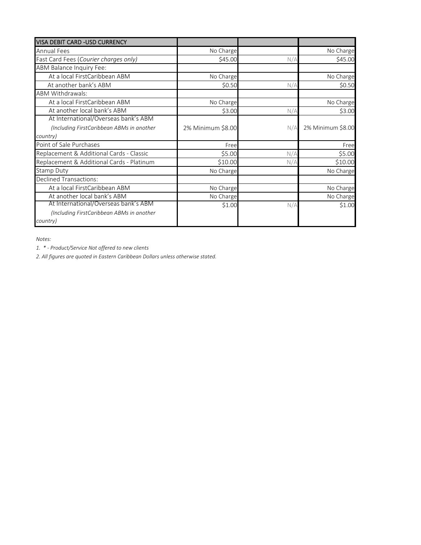| <b>VISA DEBIT CARD - USD CURRENCY</b>     |                   |     |                   |
|-------------------------------------------|-------------------|-----|-------------------|
| <b>Annual Fees</b>                        | No Charge         |     | No Charge         |
| Fast Card Fees (Courier charges only)     | \$45.00           | N/A | \$45.00           |
| ABM Balance Inquiry Fee:                  |                   |     |                   |
| At a local FirstCaribbean ABM             | No Charge         |     | No Charge         |
| At another bank's ABM                     | \$0.50            | N/A | \$0.50            |
| <b>ABM Withdrawals:</b>                   |                   |     |                   |
| At a local FirstCaribbean ABM             | No Charge         |     | No Charge         |
| At another local bank's ABM               | \$3.00            | N/A | \$3.00            |
| At International/Overseas bank's ABM      |                   |     |                   |
| (Including FirstCaribbean ABMs in another | 2% Minimum \$8.00 | N/A | 2% Minimum \$8.00 |
| country)                                  |                   |     |                   |
| Point of Sale Purchases                   | Free              |     | Free              |
| Replacement & Additional Cards - Classic  | \$5.00            | N/A | \$5.00            |
| Replacement & Additional Cards - Platinum | \$10.00           | N/A | \$10.00           |
| <b>Stamp Duty</b>                         | No Charge         |     | No Charge         |
| <b>Declined Transactions:</b>             |                   |     |                   |
| At a local FirstCaribbean ABM             | No Charge         |     | No Charge         |
| At another local bank's ABM               | No Charge         |     | No Charge         |
| At International/Overseas bank's ABM      | \$1.00            | N/A | \$1.00            |
| (Including FirstCaribbean ABMs in another |                   |     |                   |
| country)                                  |                   |     |                   |

*Notes:*

*1. \* - Product/Service Not offered to new clients*

*2. All figures are quoted in Eastern Caribbean Dollars unless otherwise stated.*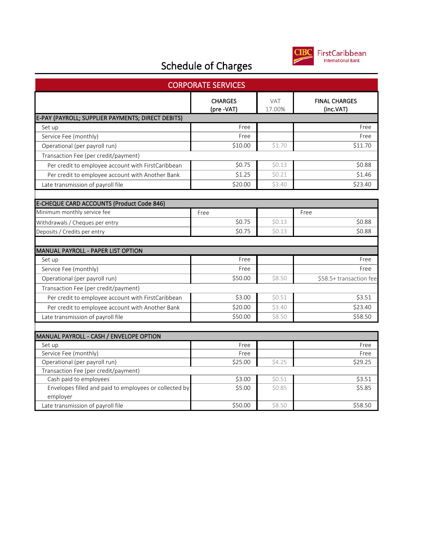

| <b>CORPORATE SERVICES</b>                              |                              |                      |                                   |  |
|--------------------------------------------------------|------------------------------|----------------------|-----------------------------------|--|
|                                                        | <b>CHARGES</b><br>(pre -VAT) | <b>VAT</b><br>17.00% | <b>FINAL CHARGES</b><br>(inc.VAT) |  |
| E-PAY (PAYROLL; SUPPLIER PAYMENTS; DIRECT DEBITS)      |                              |                      |                                   |  |
| Set up                                                 | Free                         |                      | Free                              |  |
| Service Fee (monthly)                                  | Free                         |                      | Free                              |  |
| Operational (per payroll run)                          | \$10.00                      | \$1.70               | \$11.70                           |  |
| Transaction Fee (per credit/payment)                   |                              |                      |                                   |  |
| Per credit to employee account with FirstCaribbean     | \$0.75                       | \$0.13               | \$0.88                            |  |
| Per credit to employee account with Another Bank       | \$1.25                       | \$0.21               | \$1.46                            |  |
| Late transmission of payroll file                      | \$20.00                      | \$3.40               | \$23.40                           |  |
|                                                        |                              |                      |                                   |  |
| E-CHEQUE CARD ACCOUNTS (Product Code 846)              |                              |                      |                                   |  |
| Minimum monthly service fee                            | Free                         |                      | Free                              |  |
| Withdrawals / Cheques per entry                        | \$0.75                       | \$0.13               | \$0.88                            |  |
| Deposits / Credits per entry                           | \$0.75                       | \$0.13               | \$0.88                            |  |
|                                                        |                              |                      |                                   |  |
| MANUAL PAYROLL - PAPER LIST OPTION                     |                              |                      |                                   |  |
| Set up                                                 | Free                         |                      | Free                              |  |
| Service Fee (monthly)                                  | Free                         |                      | Free                              |  |
| Operational (per payroll run)                          | \$50.00                      | \$8.50               | \$58.5+ transaction fee           |  |
| Transaction Fee (per credit/payment)                   |                              |                      |                                   |  |
| Per credit to employee account with FirstCaribbean     | \$3.00                       | \$0.51               | \$3.51                            |  |
| Per credit to employee account with Another Bank       | \$20.00                      | \$3.40               | \$23.40                           |  |
| Late transmission of payroll file                      | \$50.00                      | \$8.50               | \$58.50                           |  |
|                                                        |                              |                      |                                   |  |
| MANUAL PAYROLL - CASH / ENVELOPE OPTION                |                              |                      |                                   |  |
| Set up                                                 | Free                         |                      | Free                              |  |
| Service Fee (monthly)                                  | Free                         |                      | Free                              |  |
| Operational (per payroll run)                          | \$25.00                      | \$4.25               | \$29.25                           |  |
| Transaction Fee (per credit/payment)                   |                              |                      |                                   |  |
| Cash paid to employees                                 | \$3.00                       | \$0.51               | \$3.51                            |  |
| Envelopes filled and paid to employees or collected by | \$5.00                       | \$0.85               | \$5.85                            |  |
| employer                                               | \$50.00                      | \$8.50               | \$58.50                           |  |
| Late transmission of payroll file                      |                              |                      |                                   |  |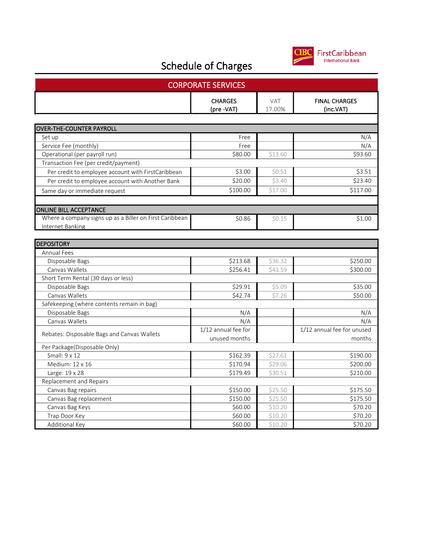

| <b>CORPORATE SERVICES</b>                               |                              |                      |                                   |  |
|---------------------------------------------------------|------------------------------|----------------------|-----------------------------------|--|
|                                                         | <b>CHARGES</b><br>(pre -VAT) | <b>VAT</b><br>17.00% | <b>FINAL CHARGES</b><br>(inc.VAT) |  |
|                                                         |                              |                      |                                   |  |
| <b>OVER-THE-COUNTER PAYROLL</b>                         |                              |                      |                                   |  |
| Set up                                                  | Free                         |                      | N/A                               |  |
| Service Fee (monthly)                                   | Free                         |                      | N/A                               |  |
| Operational (per payroll run)                           | \$80.00                      | \$13.60              | \$93.60                           |  |
| Transaction Fee (per credit/payment)                    |                              |                      |                                   |  |
| Per credit to employee account with FirstCaribbean      | \$3.00                       | \$0.51               | \$3.51                            |  |
| Per credit to employee account with Another Bank        | \$20.00                      | \$3.40               | \$23.40                           |  |
| Same day or immediate request                           | \$100.00                     | \$17.00              | \$117.00                          |  |
|                                                         |                              |                      |                                   |  |
| <b>ONLINE BILL ACCEPTANCE</b>                           |                              |                      |                                   |  |
| Where a company signs up as a Biller on First Caribbean | \$0.86                       | \$0.15               | \$1.00                            |  |
| Internet Banking                                        |                              |                      |                                   |  |
|                                                         |                              |                      |                                   |  |
| <b>DEPOSITORY</b>                                       |                              |                      |                                   |  |
| Annual Fees                                             |                              |                      |                                   |  |
| Disposable Bags                                         | \$213.68                     | \$36.32              | \$250.00                          |  |
| Canvas Wallets                                          | \$256.41                     | \$43.59              | \$300.00                          |  |
| Short Term Rental (30 days or less)                     |                              |                      |                                   |  |
| Disposable Bags                                         | \$29.91                      | \$5.09               | \$35.00                           |  |
| Canvas Wallets                                          | \$42.74                      | \$7.26               | \$50.00                           |  |
| Safekeeping (where contents remain in bag)              |                              |                      |                                   |  |
| Disposable Bags                                         | N/A                          |                      | N/A                               |  |
| Canvas Wallets                                          | N/A                          |                      | N/A                               |  |
| Rebates: Disposable Bags and Canvas Wallets             | 1/12 annual fee for          |                      | 1/12 annual fee for unused        |  |
|                                                         | unused months                |                      | months                            |  |
| Per Package(Disposable Only)                            |                              |                      |                                   |  |
| Small: 9 x 12                                           | \$162.39                     | \$27.61              | \$190.00                          |  |
| Medium: 12 x 16                                         | \$170.94                     | \$29.06              | \$200.00                          |  |
| Large: 19 x 28                                          | \$179.49                     | \$30.51              | \$210.00                          |  |
| Replacement and Repairs                                 |                              |                      |                                   |  |
| Canvas Bag repairs                                      | \$150.00                     | \$25.50              | \$175.50                          |  |
| Canvas Bag replacement                                  | \$150.00                     | \$25.50              | \$175.50                          |  |
| Canvas Bag Keys                                         | \$60.00                      | \$10.20              | \$70.20                           |  |
| Trap Door Key                                           | \$60.00                      | \$10.20              | \$70.20                           |  |
| Additional Key                                          | \$60.00                      | \$10.20              | \$70.20                           |  |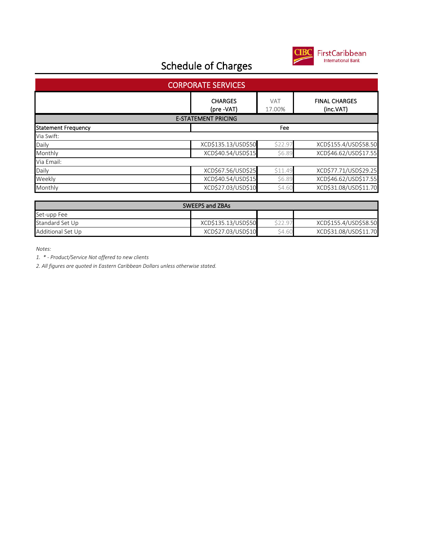

| <b>CORPORATE SERVICES</b>  |                              |                      |                                   |  |
|----------------------------|------------------------------|----------------------|-----------------------------------|--|
|                            | <b>CHARGES</b><br>(pre -VAT) | <b>VAT</b><br>17.00% | <b>FINAL CHARGES</b><br>(inc.VAT) |  |
| <b>E-STATEMENT PRICING</b> |                              |                      |                                   |  |
| <b>Statement Frequency</b> |                              | Fee                  |                                   |  |
| Via Swift:                 |                              |                      |                                   |  |
| Daily                      | XCD\$135.13/USD\$50          | \$22.97              | XCD\$155.4/USD\$58.50             |  |
| Monthly                    | XCD\$40.54/USD\$15           | \$6.89               | XCD\$46.62/USD\$17.55             |  |
| Via Email:                 |                              |                      |                                   |  |
| Daily                      | XCD\$67.56/USD\$25           | \$11.49              | XCD\$77.71/USD\$29.25             |  |
| Weekly                     | XCD\$40.54/USD\$15           | \$6.89               | XCD\$46.62/USD\$17.55             |  |
| Monthly                    | XCD\$27.03/USD\$10           | \$4.60               | XCD\$31.08/USD\$11.70             |  |

| <b>SWEEPS and ZBAs</b> |                     |        |                       |
|------------------------|---------------------|--------|-----------------------|
| Set-upp Fee            |                     |        |                       |
| Standard Set Up        | XCD\$135.13/USD\$50 | くつつ 97 | XCD\$155.4/USD\$58.50 |
| Additional Set Up      | XCD\$27.03/USD\$10  | \$4.60 | XCD\$31.08/USD\$11.70 |

*Notes:*

*1. \* - Product/Service Not offered to new clients*

*2. All figures are quoted in Eastern Caribbean Dollars unless otherwise stated.*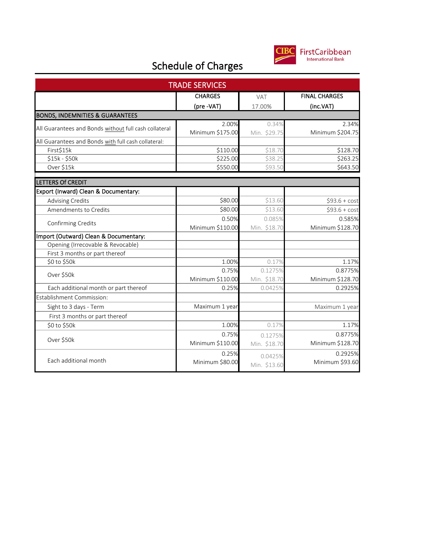

| <b>TRADE SERVICES</b>                                 |                           |                       |                           |
|-------------------------------------------------------|---------------------------|-----------------------|---------------------------|
|                                                       | <b>CHARGES</b>            | <b>VAT</b>            | <b>FINAL CHARGES</b>      |
|                                                       | (pre -VAT)                | 17.00%                | (inc.VAT)                 |
| <b>BONDS, INDEMNITIES &amp; GUARANTEES</b>            |                           |                       |                           |
| All Guarantees and Bonds without full cash collateral | 2.00%<br>Minimum \$175.00 | 0.34%<br>Min. \$29.75 | 2.34%<br>Minimum \$204.75 |
| All Guarantees and Bonds with full cash collateral:   |                           |                       |                           |
| First\$15k                                            | \$110.00                  | \$18.70               | \$128.70                  |
| \$15k - \$50k                                         | \$225.00                  | \$38.25               | \$263.25                  |
| Over \$15k                                            | \$550.00                  | \$93.50               | \$643.50                  |
| LETTERS Of CREDIT                                     |                           |                       |                           |
| Export (Inward) Clean & Documentary:                  |                           |                       |                           |
| <b>Advising Credits</b>                               | \$80.00                   | \$13.60               | $$93.6 + cost$            |
| Amendments to Credits                                 | \$80.00                   | \$13.60               | $$93.6 + cost$            |
|                                                       | 0.50%                     | 0.085%                | 0.585%                    |
| Confirming Credits                                    | Minimum \$110.00          | Min. \$18.70          | Minimum \$128.70          |
| Import (Outward) Clean & Documentary:                 |                           |                       |                           |
| Opening (Irrecovable & Revocable)                     |                           |                       |                           |
| First 3 months or part thereof                        |                           |                       |                           |
| \$0 to \$50k                                          | 1.00%                     | 0.17%                 | 1.17%                     |
| Over \$50k                                            | 0.75%                     | 0.1275%               | 0.8775%                   |
|                                                       | Minimum \$110.00          | Min. \$18.70          | Minimum \$128.70          |
| Each additional month or part thereof                 | 0.25%                     | 0.0425%               | 0.2925%                   |
| Establishment Commission:                             |                           |                       |                           |
| Sight to 3 days - Term                                | Maximum 1 year            |                       | Maximum 1 year            |
| First 3 months or part thereof                        |                           |                       |                           |
| \$0 to \$50k                                          | 1.00%                     | 0.17%                 | 1.17%                     |
|                                                       | 0.75%                     | 0.1275%               | 0.8775%                   |
| Over \$50k                                            | Minimum \$110.00          | Min. \$18.70          | Minimum \$128.70          |
|                                                       | 0.25%                     | 0.0425%               | 0.2925%                   |
| Each additional month                                 | Minimum \$80.00           | Min. \$13.60          | Minimum \$93.60           |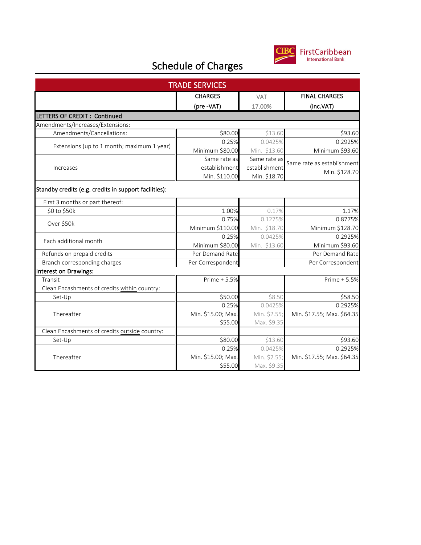

| <b>TRADE SERVICES</b>                                 |                    |               |                            |  |
|-------------------------------------------------------|--------------------|---------------|----------------------------|--|
|                                                       | <b>CHARGES</b>     | VAT           | <b>FINAL CHARGES</b>       |  |
|                                                       | (pre -VAT)         | 17.00%        | (inc.VAT)                  |  |
| LETTERS OF CREDIT: Continued                          |                    |               |                            |  |
| Amendments/Increases/Extensions:                      |                    |               |                            |  |
| Amendments/Cancellations:                             | \$80.00            | \$13.60       | \$93.60                    |  |
|                                                       | 0.25%              | 0.0425%       | 0.2925%                    |  |
| Extensions (up to 1 month; maximum 1 year)            | Minimum \$80.00    | Min. \$13.60  | Minimum \$93.60            |  |
|                                                       | Same rate as       | Same rate as  |                            |  |
| Increases                                             | establishment      | establishment | Same rate as establishment |  |
|                                                       | Min. \$110.00      | Min. \$18.70  | Min. \$128.70              |  |
| Standby credits (e.g. credits in support facilities): |                    |               |                            |  |
| First 3 months or part thereof:                       |                    |               |                            |  |
| \$0 to \$50k                                          | 1.00%              | 0.17%         | 1.17%                      |  |
| Over \$50k                                            | 0.75%              | 0.1275%       | 0.8775%                    |  |
|                                                       | Minimum \$110.00   | Min. \$18.70  | Minimum \$128.70           |  |
|                                                       | 0.25%              | 0.0425%       | 0.2925%                    |  |
| Each additional month                                 | Minimum \$80.00    | Min. \$13.60  | Minimum \$93.60            |  |
| Refunds on prepaid credits                            | Per Demand Rate    |               | Per Demand Rate            |  |
| Branch corresponding charges                          | Per Correspondent  |               | Per Correspondent          |  |
| Interest on Drawings:                                 |                    |               |                            |  |
| Transit                                               | Prime + 5.5%       |               | Prime + 5.5%               |  |
| Clean Encashments of credits within country:          |                    |               |                            |  |
| Set-Up                                                | \$50.00            | \$8.50        | \$58.50                    |  |
| Thereafter                                            | 0.25%              | 0.0425%       | 0.2925%                    |  |
|                                                       | Min. \$15.00; Max. | Min. \$2.55;  | Min. \$17.55; Max. \$64.35 |  |
|                                                       | \$55.00            | Max. \$9.35   |                            |  |
| Clean Encashments of credits outside country:         |                    |               |                            |  |
| Set-Up                                                | \$80.00            | \$13.60       | \$93.60                    |  |
| Thereafter                                            | 0.25%              | 0.0425%       | 0.2925%                    |  |
|                                                       | Min. \$15.00; Max. | Min. \$2.55;  | Min. \$17.55; Max. \$64.35 |  |
|                                                       | \$55.00            | Max. \$9.35   |                            |  |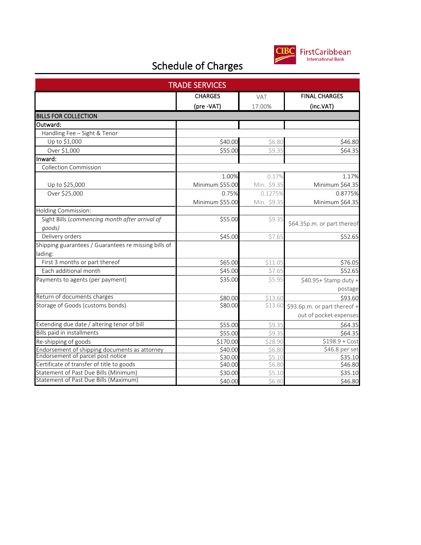

| <b>TRADE SERVICES</b>                                |                 |             |                              |  |
|------------------------------------------------------|-----------------|-------------|------------------------------|--|
|                                                      | <b>CHARGES</b>  | VAT         | <b>FINAL CHARGES</b>         |  |
|                                                      | (pre -VAT)      | 17.00%      | (inc.VAT)                    |  |
| <b>BILLS FOR COLLECTION</b>                          |                 |             |                              |  |
| Outward:                                             |                 |             |                              |  |
| Handling Fee - Sight & Tenor                         |                 |             |                              |  |
| Up to \$1,000                                        | \$40.00         | \$6.80      | \$46.80                      |  |
| Over \$1,000                                         | \$55.00         | \$9.35      | \$64.35                      |  |
| Inward:                                              |                 |             |                              |  |
| <b>Collection Commission</b>                         |                 |             |                              |  |
|                                                      | 1.00%           | 0.17%       | 1.17%                        |  |
| Up to \$25,000                                       | Minimum \$55.00 | Min. \$9.35 | Minimum \$64.35              |  |
| Over \$25,000                                        | 0.75%           | 0.1275%     | 0.8775%                      |  |
|                                                      | Minimum \$55.00 | Min. \$9.35 | Minimum \$64.35              |  |
| Holding Commission:                                  |                 |             |                              |  |
| Sight Bills (commencing month after arrival of       | \$55.00         | \$9.35      |                              |  |
| qoods)                                               |                 |             | \$64.35p.m. or part thereof  |  |
| Delivery orders                                      | \$45.00         | \$7.65      | \$52.65                      |  |
| Shipping guarantees / Guarantees re missing bills of |                 |             |                              |  |
| lading:                                              |                 |             |                              |  |
| First 3 months or part thereof                       | \$65.00         | \$11.05     | \$76.05                      |  |
| Each additional month                                | \$45.00         | \$7.65      | \$52.65                      |  |
| Payments to agents (per payment)                     | \$35.00         | \$5.95      | \$40.95+ Stamp duty +        |  |
|                                                      |                 |             | postage                      |  |
| Return of documents charges                          | \$80.00         | \$13.60     | \$93.60                      |  |
| Storage of Goods (customs bonds)                     | \$80.00         | \$13.60     | \$93.6p.m. or part thereof + |  |
|                                                      |                 |             | out of pocket expenses       |  |
| Extending due date / altering tenor of bill          | \$55.00         | \$9.35      | \$64.35                      |  |
| Bills paid in installments                           | \$55.00         | \$9.35      | \$64.35                      |  |
| Re-shipping of goods                                 | \$170.00        | \$28.90     | $$198.9 + Cost$              |  |
| Endorsement of shipping documents as attorney        | \$40.00         | \$6.80      | \$46.8 per set               |  |
| Endorsement of parcel post notice                    | \$30.00         | \$5.10      | \$35.10                      |  |
| Certificate of transfer of title to goods            | \$40.00         | \$6.80      | \$46.80                      |  |
| Statement of Past Due Bills (Minimum)                | \$30.00         | \$5.10      | \$35.10                      |  |
| Statement of Past Due Bills (Maximum)                | \$40.00         | \$6.80      | \$46.80                      |  |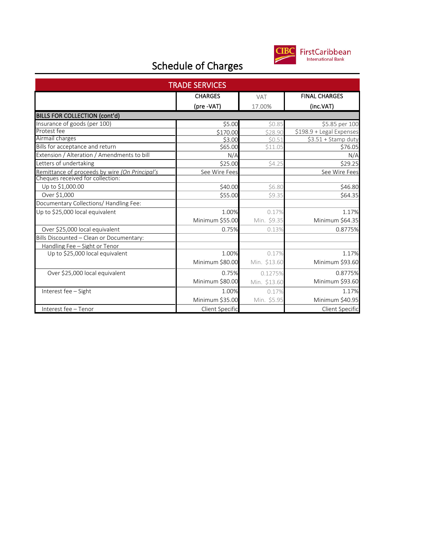

| <b>TRADE SERVICES</b>                                                           |                 |              |                          |  |
|---------------------------------------------------------------------------------|-----------------|--------------|--------------------------|--|
|                                                                                 | <b>CHARGES</b>  | <b>VAT</b>   | <b>FINAL CHARGES</b>     |  |
|                                                                                 | (pre -VAT)      | 17.00%       | (inc.VAT)                |  |
| <b>BILLS FOR COLLECTION (cont'd)</b>                                            |                 |              |                          |  |
| Insurance of goods (per 100)                                                    | \$5.00          | \$0.85       | \$5.85 per 100           |  |
| Protest fee                                                                     | \$170.00        | \$28.90      | \$198.9 + Legal Expenses |  |
| Airmail charges                                                                 | \$3.00          | \$0.51       | $53.51 +$ Stamp duty     |  |
| Bills for acceptance and return                                                 | \$65.00         | \$11.05      | \$76.05                  |  |
| Extension / Alteration / Amendments to bill                                     | N/A             |              | N/A                      |  |
| Letters of undertaking                                                          | \$25.00         | \$4.25       | \$29.25                  |  |
| Remittance of proceeds by wire (On Principal's Cheques received for collection: | See Wire Fees   |              | See Wire Fees            |  |
|                                                                                 |                 |              |                          |  |
| Up to \$1,000.00                                                                | \$40.00         | \$6.80       | \$46.80                  |  |
| Over \$1,000                                                                    | \$55.00         | \$9.35       | \$64.35                  |  |
| Documentary Collections/ Handling Fee:                                          |                 |              |                          |  |
| Up to \$25,000 local equivalent                                                 | 1.00%           | 0.17%        | 1.17%                    |  |
|                                                                                 | Minimum \$55.00 | Min. \$9.35  | Minimum \$64.35          |  |
| Over \$25,000 local equivalent                                                  | 0.75%           | 0.13%        | 0.8775%                  |  |
| Bills Discounted - Clean or Documentary:                                        |                 |              |                          |  |
| Handling Fee - Sight or Tenor                                                   |                 |              |                          |  |
| Up to \$25,000 local equivalent                                                 | 1.00%           | 0.17%        | 1.17%                    |  |
|                                                                                 | Minimum \$80.00 | Min. \$13.60 | Minimum \$93.60          |  |
| Over \$25,000 local equivalent                                                  | 0.75%           | 0.1275%      | 0.8775%                  |  |
|                                                                                 | Minimum \$80.00 | Min. \$13.60 | Minimum \$93.60          |  |
| Interest fee - Sight                                                            | 1.00%           | 0.17%        | 1.17%                    |  |
|                                                                                 | Minimum \$35.00 | Min. \$5.95  | Minimum \$40.95          |  |
| Interest fee - Tenor                                                            | Client Specific |              | Client Specific          |  |